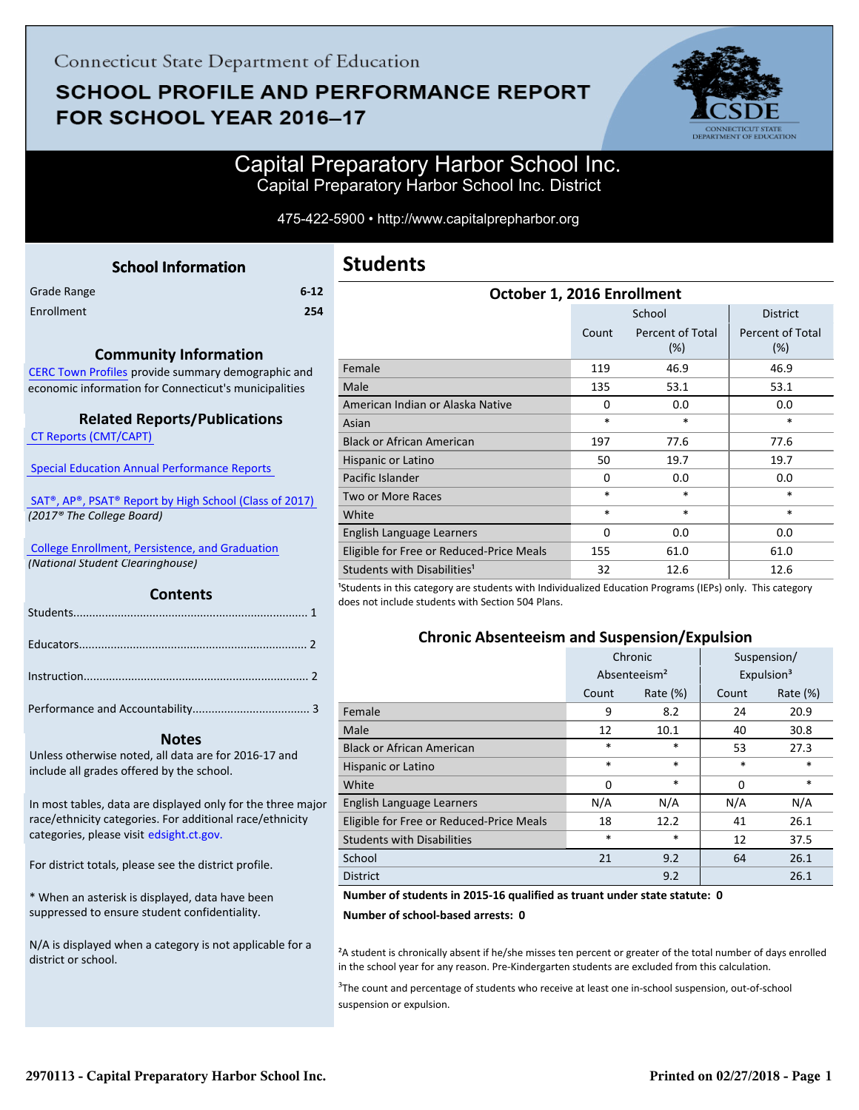# **SCHOOL PROFILE AND PERFORMANCE REPORT** FOR SCHOOL YEAR 2016-17



### Capital Preparatory Harbor School Inc. Capital Preparatory Harbor School Inc. District

#### 475-422-5900 • http://www.capitalprepharbor.org

<span id="page-0-0"></span>

|             | <b>School Information</b> |          |
|-------------|---------------------------|----------|
| Grade Range |                           | $6 - 12$ |
| Enrollment  |                           | 254      |
|             |                           |          |

#### **Community Information**

[CERC Town Profiles provide summary demographic and](http://www.cerc.com/townprofiles/) economic information for Connecticut's municipalities

#### **Related Reports/Publications**

 [CT Reports \(CMT/CAPT\)](http://ctreports.com/) 

 [Special Education Annual Performance Reports](http://edsight.ct.gov/SASPortal/main.do) 

 [SAT®, AP®, PSAT® Report by High School \(Class of 2017\)](http://edsight.ct.gov/relatedreports/SAT,%20AP,%20PSAT%20Score%20Summary%20by%20High%20School%20Class%20of%202017.pdf)   *(2017® The College Board)*

 [College Enrollment, Persistence, and Graduation](http://www.sde.ct.gov/sde/cwp/view.asp?a=2758&Q=335288)  *(National Student Clearinghouse)*

#### **Contents**

#### **Notes**

Unless otherwise noted, all data are for 2016-17 and include all grades offered by the school.

[In most tables, data are displayed only for the three major](http://edsight.ct.gov/) race/ethnicity categories. For additional race/ethnicity categories, please visit edsight.ct.gov.

For district totals, please see the district profile.

\* When an asterisk is displayed, data have been suppressed to ensure student confidentiality.

N/A is displayed when a category is not applicable for a district or school.

| October 1, 2016 Enrollment               |        |                         |                         |  |  |
|------------------------------------------|--------|-------------------------|-------------------------|--|--|
|                                          |        | School                  | <b>District</b>         |  |  |
|                                          | Count  | Percent of Total<br>(%) | Percent of Total<br>(%) |  |  |
| Female                                   | 119    | 46.9                    | 46.9                    |  |  |
| Male                                     | 135    | 53.1                    | 53.1                    |  |  |
| American Indian or Alaska Native         | 0      | 0.0                     | 0.0                     |  |  |
| Asian                                    | $\ast$ | *                       | *                       |  |  |
| <b>Black or African American</b>         | 197    | 77.6                    | 77.6                    |  |  |
| Hispanic or Latino                       | 50     | 19.7                    | 19.7                    |  |  |
| Pacific Islander                         | 0      | 0.0                     | 0.0                     |  |  |
| Two or More Races                        | $\ast$ | *                       | *                       |  |  |
| White                                    | *      | $\ast$                  | *                       |  |  |
| English Language Learners                | 0      | 0.0                     | 0.0                     |  |  |
| Eligible for Free or Reduced-Price Meals | 155    | 61.0                    | 61.0                    |  |  |
| Students with Disabilities <sup>1</sup>  | 32     | 12.6                    | 12.6                    |  |  |

<sup>1</sup>Students in this category are students with Individualized Education Programs (IEPs) only. This category does not include students with Section 504 Plans.

#### **Chronic Absenteeism and Suspension/Expulsion**

|                                          | Chronic                  |             | Suspension/            |             |
|------------------------------------------|--------------------------|-------------|------------------------|-------------|
|                                          | Absenteeism <sup>2</sup> |             | Expulsion <sup>3</sup> |             |
|                                          | Count                    | Rate $(\%)$ | Count                  | Rate $(\%)$ |
| Female                                   | 9                        | 8.2         | 24                     | 20.9        |
| Male                                     | 12                       | 10.1        | 40                     | 30.8        |
| <b>Black or African American</b>         | $\ast$                   | $\ast$      | 53                     | 27.3        |
| Hispanic or Latino                       | $\ast$                   | $\ast$      | $\ast$                 | *           |
| White                                    | 0                        | $\ast$      | 0                      | *           |
| English Language Learners                | N/A                      | N/A         | N/A                    | N/A         |
| Eligible for Free or Reduced-Price Meals | 18                       | 12.2        | 41                     | 26.1        |
| <b>Students with Disabilities</b>        | $\ast$                   | $\ast$      | 12                     | 37.5        |
| School                                   | 21                       | 9.2         | 64                     | 26.1        |
| <b>District</b>                          |                          | 9.2         |                        | 26.1        |

#### **Number of students in 2015-16 qualified as truant under state statute: 0**

**Number of school-based arrests: 0**

²A student is chronically absent if he/she misses ten percent or greater of the total number of days enrolled in the school year for any reason. Pre-Kindergarten students are excluded from this calculation.

<sup>3</sup>The count and percentage of students who receive at least one in-school suspension, out-of-school suspension or expulsion.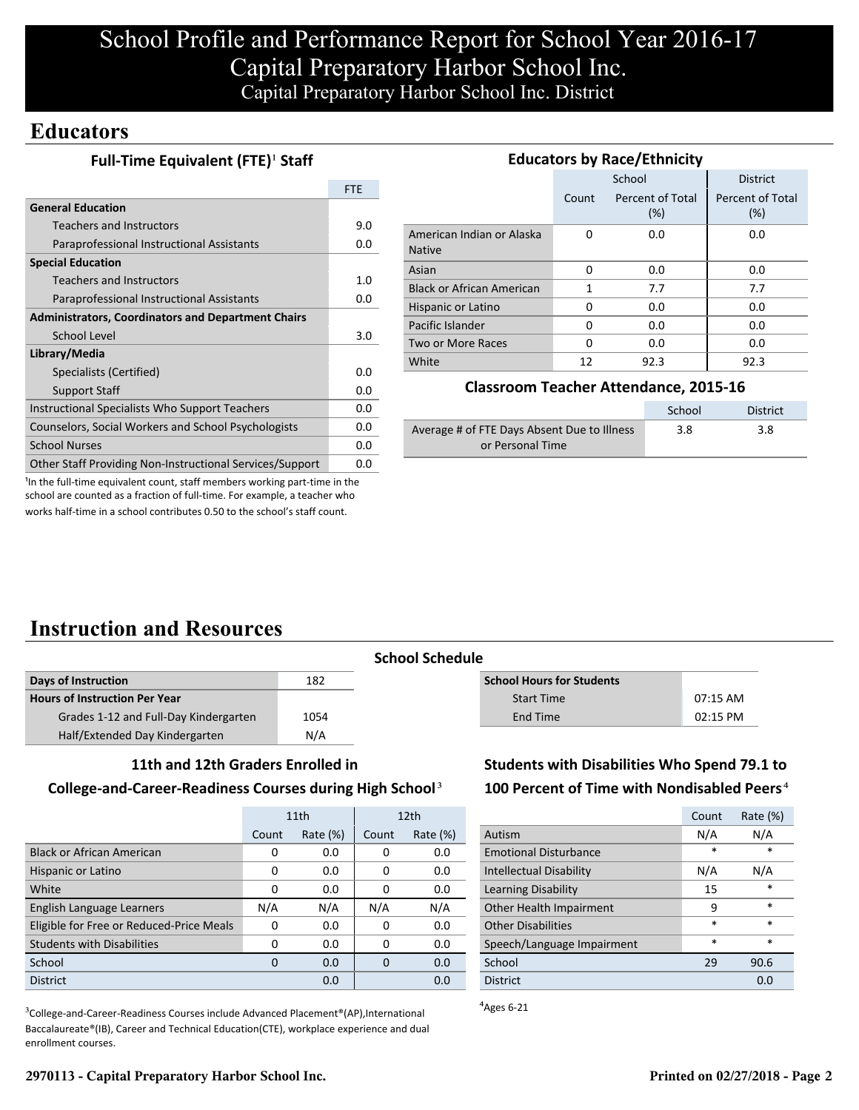### **Educators**

|                                                           | <b>FTE</b> |
|-----------------------------------------------------------|------------|
| <b>General Education</b>                                  |            |
| <b>Teachers and Instructors</b>                           | 9.0        |
| Paraprofessional Instructional Assistants                 | 0.0        |
| <b>Special Education</b>                                  |            |
| <b>Teachers and Instructors</b>                           | 1.0        |
| Paraprofessional Instructional Assistants                 | 0.0        |
| <b>Administrators, Coordinators and Department Chairs</b> |            |
| School Level                                              |            |
| Library/Media                                             |            |
| Specialists (Certified)                                   | 0.0        |
| <b>Support Staff</b>                                      | 0.0        |
| Instructional Specialists Who Support Teachers            |            |
| Counselors, Social Workers and School Psychologists       |            |
| <b>School Nurses</b>                                      |            |
| Other Staff Providing Non-Instructional Services/Support  | 0.0        |

| <b>Educators by Race/Ethnicity</b>         |          |                         |                         |  |  |
|--------------------------------------------|----------|-------------------------|-------------------------|--|--|
|                                            |          | School                  | <b>District</b>         |  |  |
|                                            | Count    | Percent of Total<br>(%) | Percent of Total<br>(%) |  |  |
| American Indian or Alaska<br><b>Native</b> | $\Omega$ | 0.0                     | 0.0                     |  |  |
| Asian                                      | 0        | 0.0                     | 0.0                     |  |  |
| <b>Black or African American</b>           | 1        | 7.7                     | 7.7                     |  |  |
| Hispanic or Latino                         | 0        | 0.0                     | 0.0                     |  |  |
| Pacific Islander                           | 0        | 0.0                     | 0.0                     |  |  |
| Two or More Races                          | 0        | 0.0                     | 0.0                     |  |  |
| White                                      | 12       | 92.3                    | 92.3                    |  |  |

#### **Classroom Teacher Attendance, 2015-16**

|                                             | School | <b>District</b> |
|---------------------------------------------|--------|-----------------|
| Average # of FTE Days Absent Due to Illness | 3.8    | 3.8             |
| or Personal Time                            |        |                 |

<sup>1</sup>In the full-time equivalent count, staff members working part-time in the school are counted as a fraction of full-time. For example, a teacher who works half-time in a school contributes 0.50 to the school's staff count.

# **Instruction and Resources**

| Days of Instruction                   | 182  |
|---------------------------------------|------|
| <b>Hours of Instruction Per Year</b>  |      |
| Grades 1-12 and Full-Day Kindergarten | 1054 |
| Half/Extended Day Kindergarten        | N/A  |

# **School Schedule**

| <b>School Hours for Students</b> |            |
|----------------------------------|------------|
| <b>Start Time</b>                | $07:15$ AM |
| End Time                         | 02:15 PM   |
|                                  |            |

#### **11th and 12th Graders Enrolled in**

#### **College-and-Career-Readiness Courses during High School**³

|                                          | 11th  |             | 12 <sub>th</sub> |             |
|------------------------------------------|-------|-------------|------------------|-------------|
|                                          | Count | Rate $(\%)$ | Count            | Rate $(\%)$ |
| <b>Black or African American</b>         | 0     | 0.0         | 0                | 0.0         |
| Hispanic or Latino                       | 0     | 0.0         | 0                | 0.0         |
| White                                    | 0     | 0.0         | 0                | 0.0         |
| English Language Learners                | N/A   | N/A         | N/A              | N/A         |
| Eligible for Free or Reduced-Price Meals | 0     | 0.0         | $\Omega$         | 0.0         |
| <b>Students with Disabilities</b>        | 0     | 0.0         | 0                | 0.0         |
| School                                   | 0     | 0.0         | 0                | 0.0         |
| <b>District</b>                          |       | 0.0         |                  | 0.0         |

<sup>3</sup>College-and-Career-Readiness Courses include Advanced Placement®(AP),International Baccalaureate®(IB), Career and Technical Education(CTE), workplace experience and dual enrollment courses.

### **Students with Disabilities Who Spend 79.1 to 100 Percent of Time with Nondisabled Peers**⁴

|                                | Count  | Rate (%) |
|--------------------------------|--------|----------|
| Autism                         | N/A    | N/A      |
| <b>Emotional Disturbance</b>   | *      | $\star$  |
| <b>Intellectual Disability</b> | N/A    | N/A      |
| Learning Disability            | 15     | $\star$  |
| Other Health Impairment        | 9      | $\ast$   |
| <b>Other Disabilities</b>      | $\ast$ | $\ast$   |
| Speech/Language Impairment     | $\ast$ | $\ast$   |
| School                         | 29     | 90.6     |
| <b>District</b>                |        | n n      |

 $A$ <sub>Ages</sub> 6-21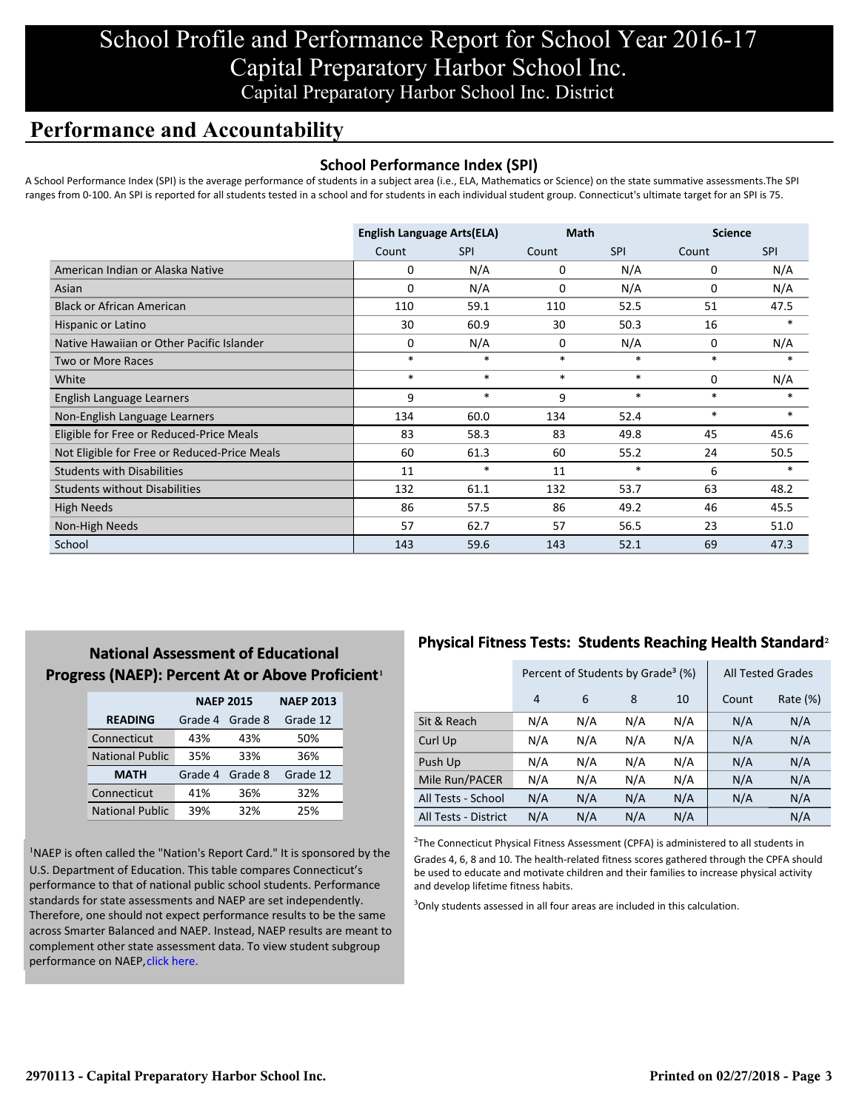### **Performance and Accountability**

#### **School Performance Index (SPI)**

A School Performance Index (SPI) is the average performance of students in a subject area (i.e., ELA, Mathematics or Science) on the state summative assessments.The SPI ranges from 0-100. An SPI is reported for all students tested in a school and for students in each individual student group. Connecticut's ultimate target for an SPI is 75.

|                                              | <b>English Language Arts(ELA)</b> |            | <b>Math</b> |            | <b>Science</b> |            |
|----------------------------------------------|-----------------------------------|------------|-------------|------------|----------------|------------|
|                                              | Count                             | <b>SPI</b> | Count       | <b>SPI</b> | Count          | <b>SPI</b> |
| American Indian or Alaska Native             | 0                                 | N/A        | 0           | N/A        | 0              | N/A        |
| Asian                                        | $\Omega$                          | N/A        | 0           | N/A        | 0              | N/A        |
| <b>Black or African American</b>             | 110                               | 59.1       | 110         | 52.5       | 51             | 47.5       |
| Hispanic or Latino                           | 30                                | 60.9       | 30          | 50.3       | 16             | $\ast$     |
| Native Hawaiian or Other Pacific Islander    | 0                                 | N/A        | 0           | N/A        | 0              | N/A        |
| Two or More Races                            | $\ast$                            | $\ast$     | $\ast$      | $\ast$     | $\ast$         | $\ast$     |
| White                                        | $\ast$                            | $\ast$     | $\ast$      | $\ast$     | $\mathbf 0$    | N/A        |
| English Language Learners                    | 9                                 | $\ast$     | 9           | $\ast$     | $\ast$         | $\ast$     |
| Non-English Language Learners                | 134                               | 60.0       | 134         | 52.4       | $\ast$         | $\ast$     |
| Eligible for Free or Reduced-Price Meals     | 83                                | 58.3       | 83          | 49.8       | 45             | 45.6       |
| Not Eligible for Free or Reduced-Price Meals | 60                                | 61.3       | 60          | 55.2       | 24             | 50.5       |
| <b>Students with Disabilities</b>            | 11                                | $\ast$     | 11          | $\ast$     | 6              | $\ast$     |
| <b>Students without Disabilities</b>         | 132                               | 61.1       | 132         | 53.7       | 63             | 48.2       |
| <b>High Needs</b>                            | 86                                | 57.5       | 86          | 49.2       | 46             | 45.5       |
| Non-High Needs                               | 57                                | 62.7       | 57          | 56.5       | 23             | 51.0       |
| School                                       | 143                               | 59.6       | 143         | 52.1       | 69             | 47.3       |

### **National Assessment of Educational Progress (NAEP): Percent At or Above Proficient1**

|                        | <b>NAEP 2015</b> | <b>NAEP 2013</b> |          |
|------------------------|------------------|------------------|----------|
| <b>READING</b>         | Grade 4          | Grade 8          | Grade 12 |
| Connecticut            | 43%              | 43%              | 50%      |
| <b>National Public</b> | 35%              | 33%              | 36%      |
| <b>MATH</b>            | Grade 4          | Grade 8          | Grade 12 |
| Connecticut            | 41%              | 36%              | 32%      |
| <b>National Public</b> | 39%              | 32%              | 25%      |

<sup>1</sup>NAEP is often called the "Nation's Report Card." It is sponsored by the U.S. Department of Education. This table compares Connecticut's performance to that of national public school students. Performance standards for state assessments and NAEP are set independently. Therefore, one should not expect performance results to be the same [across Smarter Balanced and NAEP. Instead, NAEP results are meant to](http://portal.ct.gov/-/media/SDE/Student-Assessment/NAEP/ct_naep_2015_results_by_performance_level.pdf?la=en) complement other state assessment data. To view student subgroup performance on NAEP, click here.

### **Physical Fitness Tests: Students Reaching Health Standard**²

|                      | Percent of Students by Grade <sup>3</sup> (%) |     |     |     |       | <b>All Tested Grades</b> |
|----------------------|-----------------------------------------------|-----|-----|-----|-------|--------------------------|
|                      | $\overline{4}$                                | 6   | 8   | 10  | Count | Rate (%)                 |
| Sit & Reach          | N/A                                           | N/A | N/A | N/A | N/A   | N/A                      |
| Curl Up              | N/A                                           | N/A | N/A | N/A | N/A   | N/A                      |
| Push Up              | N/A                                           | N/A | N/A | N/A | N/A   | N/A                      |
| Mile Run/PACER       | N/A                                           | N/A | N/A | N/A | N/A   | N/A                      |
| All Tests - School   | N/A                                           | N/A | N/A | N/A | N/A   | N/A                      |
| All Tests - District | N/A                                           | N/A | N/A | N/A |       | N/A                      |

 $2$ The Connecticut Physical Fitness Assessment (CPFA) is administered to all students in Grades 4, 6, 8 and 10. The health-related fitness scores gathered through the CPFA should be used to educate and motivate children and their families to increase physical activity and develop lifetime fitness habits.

<sup>3</sup>Only students assessed in all four areas are included in this calculation.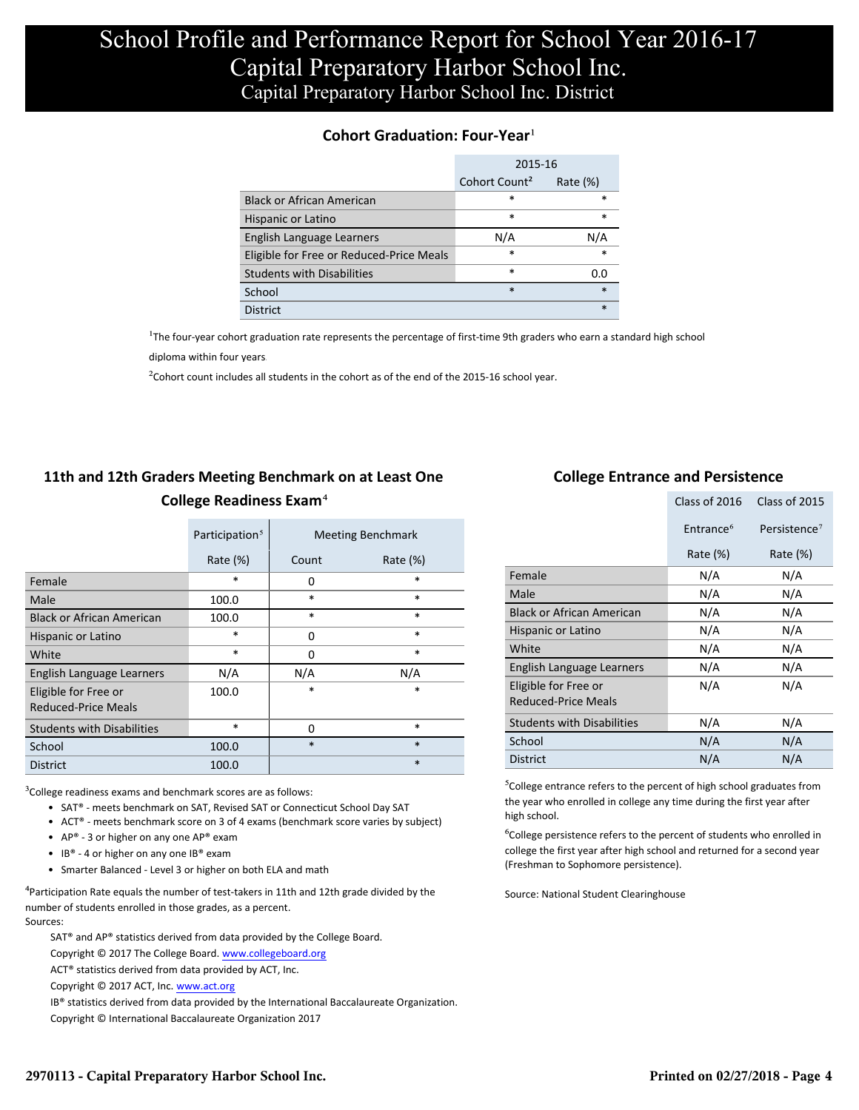#### **Cohort Graduation: Four-Year**<sup>1</sup>

|                                          | 2015-16                   |             |
|------------------------------------------|---------------------------|-------------|
|                                          | Cohort Count <sup>2</sup> | Rate $(\%)$ |
| <b>Black or African American</b>         | *                         | *           |
| Hispanic or Latino                       | $\ast$                    | $\ast$      |
| English Language Learners                | N/A                       | N/A         |
| Eligible for Free or Reduced-Price Meals | *                         | $\ast$      |
| <b>Students with Disabilities</b>        | $\ast$                    | 0.0         |
| School                                   | $\ast$                    | $\ast$      |
| <b>District</b>                          |                           | $\ast$      |

<sup>1</sup>The four-year cohort graduation rate represents the percentage of first-time 9th graders who earn a standard high school

[diploma within four years.](http://www.sde.ct.gov/sde/cwp/view.asp?a=2758&q=334898)

 $2$ Cohort count includes all students in the cohort as of the end of the 2015-16 school year.

### **11th and 12th Graders Meeting Benchmark on at Least One College Readiness Exam**⁴

|                                             | Participation <sup>5</sup> |          | <b>Meeting Benchmark</b> |
|---------------------------------------------|----------------------------|----------|--------------------------|
|                                             | Rate $(\%)$                | Count    | Rate $(\%)$              |
| Female                                      | *                          | $\Omega$ | $\ast$                   |
| Male                                        | 100.0                      | $\ast$   | $\ast$                   |
| <b>Black or African American</b>            | 100.0                      | $\ast$   | $\ast$                   |
| Hispanic or Latino                          | $\ast$                     | $\Omega$ | $\ast$                   |
| White                                       | *                          | 0        | $\ast$                   |
| English Language Learners                   | N/A                        | N/A      | N/A                      |
| Eligible for Free or<br>Reduced-Price Meals | 100.0                      | $\ast$   | $\ast$                   |
| <b>Students with Disabilities</b>           | *                          | $\Omega$ | $\ast$                   |
| School                                      | 100.0                      | $\ast$   | $\ast$                   |
| <b>District</b>                             | 100.0                      |          | $\ast$                   |

 $3$ College readiness exams and benchmark scores are as follows:

- SAT® meets benchmark on SAT, Revised SAT or Connecticut School Day SAT
- ACT® meets benchmark score on 3 of 4 exams (benchmark score varies by subject)
- AP® 3 or higher on any one  $AP^®$  exam
- IB® 4 or higher on any one IB® exam
- Smarter Balanced Level 3 or higher on both ELA and math

 $4$ Participation Rate equals the number of test-takers in 11th and 12th grade divided by the number of students enrolled in those grades, as a percent. Sources:

SAT® and AP® statistics derived from data provided by the College Board.

- Copyright © 2017 The College Board. www.collegeboard.org
- ACT® statistics derived from data provided by ACT, Inc.

Copyright © 2017 ACT, Inc. www.act.org

IB® statistics derived from data provided by the International Baccalaureate Organization.

Copyright © International Baccalaureate Organization 2017

#### **College Entrance and Persistence**

|                                                    | Class of 2016         | Class of 2015            |
|----------------------------------------------------|-----------------------|--------------------------|
|                                                    | Entrance <sup>6</sup> | Persistence <sup>7</sup> |
|                                                    | Rate (%)              | Rate (%)                 |
| Female                                             | N/A                   | N/A                      |
| Male                                               | N/A                   | N/A                      |
| <b>Black or African American</b>                   | N/A                   | N/A                      |
| Hispanic or Latino                                 | N/A                   | N/A                      |
| White                                              | N/A                   | N/A                      |
| English Language Learners                          | N/A                   | N/A                      |
| Eligible for Free or<br><b>Reduced-Price Meals</b> | N/A                   | N/A                      |
| <b>Students with Disabilities</b>                  | N/A                   | N/A                      |
| School                                             | N/A                   | N/A                      |
| <b>District</b>                                    | N/A                   | N/A                      |

 $5$ College entrance refers to the percent of high school graduates from the year who enrolled in college any time during the first year after high school.

⁶College persistence refers to the percent of students who enrolled in college the first year after high school and returned for a second year (Freshman to Sophomore persistence).

Source: National Student Clearinghouse